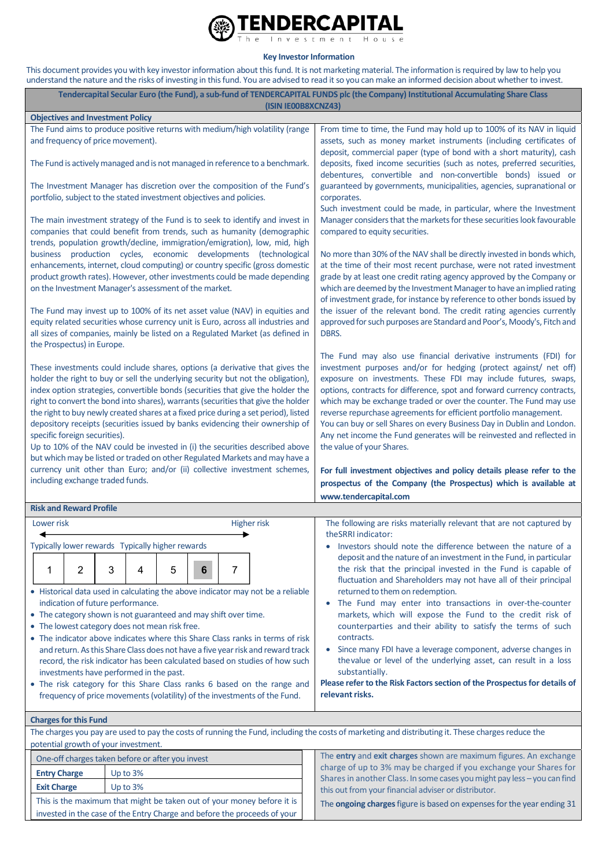

## **Key Investor Information**

This document provides you with key investor information about this fund. It is not marketing material. The information is required by law to help you understand the nature and the risks of investing in this fund. You are advised to read it so you can make an informed decision about whether to invest.

|                                                                                                                                                                                                                                                                                                                                                                                                                                                                                                                                                                                                                                                                                                                                                                                               |          |        | (ISIN IE00B8XCNZ43)                                                          | Tendercapital Secular Euro (the Fund), a sub-fund of TENDERCAPITAL FUNDS plc (the Company) Institutional Accumulating Share Class                                                                                                                                                                                                                                                                                                                                                                                                                                                                                                                                                      |
|-----------------------------------------------------------------------------------------------------------------------------------------------------------------------------------------------------------------------------------------------------------------------------------------------------------------------------------------------------------------------------------------------------------------------------------------------------------------------------------------------------------------------------------------------------------------------------------------------------------------------------------------------------------------------------------------------------------------------------------------------------------------------------------------------|----------|--------|------------------------------------------------------------------------------|----------------------------------------------------------------------------------------------------------------------------------------------------------------------------------------------------------------------------------------------------------------------------------------------------------------------------------------------------------------------------------------------------------------------------------------------------------------------------------------------------------------------------------------------------------------------------------------------------------------------------------------------------------------------------------------|
| <b>Objectives and Investment Policy</b>                                                                                                                                                                                                                                                                                                                                                                                                                                                                                                                                                                                                                                                                                                                                                       |          |        |                                                                              |                                                                                                                                                                                                                                                                                                                                                                                                                                                                                                                                                                                                                                                                                        |
| The Fund aims to produce positive returns with medium/high volatility (range<br>and frequency of price movement).                                                                                                                                                                                                                                                                                                                                                                                                                                                                                                                                                                                                                                                                             |          |        |                                                                              | From time to time, the Fund may hold up to 100% of its NAV in liquid<br>assets, such as money market instruments (including certificates of                                                                                                                                                                                                                                                                                                                                                                                                                                                                                                                                            |
|                                                                                                                                                                                                                                                                                                                                                                                                                                                                                                                                                                                                                                                                                                                                                                                               |          |        | The Fund is actively managed and is not managed in reference to a benchmark. | deposit, commercial paper (type of bond with a short maturity), cash<br>deposits, fixed income securities (such as notes, preferred securities,<br>debentures, convertible and non-convertible bonds) issued or                                                                                                                                                                                                                                                                                                                                                                                                                                                                        |
| portfolio, subject to the stated investment objectives and policies.                                                                                                                                                                                                                                                                                                                                                                                                                                                                                                                                                                                                                                                                                                                          |          |        | The Investment Manager has discretion over the composition of the Fund's     | guaranteed by governments, municipalities, agencies, supranational or<br>corporates.<br>Such investment could be made, in particular, where the Investment                                                                                                                                                                                                                                                                                                                                                                                                                                                                                                                             |
| The main investment strategy of the Fund is to seek to identify and invest in<br>companies that could benefit from trends, such as humanity (demographic<br>trends, population growth/decline, immigration/emigration), low, mid, high<br>business production cycles, economic developments (technological<br>enhancements, internet, cloud computing) or country specific (gross domestic<br>product growth rates). However, other investments could be made depending<br>on the Investment Manager's assessment of the market.                                                                                                                                                                                                                                                              |          |        |                                                                              | Manager considers that the markets for these securities look favourable<br>compared to equity securities.<br>No more than 30% of the NAV shall be directly invested in bonds which,<br>at the time of their most recent purchase, were not rated investment<br>grade by at least one credit rating agency approved by the Company or<br>which are deemed by the Investment Manager to have an implied rating<br>of investment grade, for instance by reference to other bonds issued by<br>the issuer of the relevant bond. The credit rating agencies currently<br>approved for such purposes are Standard and Poor's, Moody's, Fitch and<br>DBRS.                                    |
| The Fund may invest up to 100% of its net asset value (NAV) in equities and<br>equity related securities whose currency unit is Euro, across all industries and<br>all sizes of companies, mainly be listed on a Regulated Market (as defined in<br>the Prospectus) in Europe.                                                                                                                                                                                                                                                                                                                                                                                                                                                                                                                |          |        |                                                                              |                                                                                                                                                                                                                                                                                                                                                                                                                                                                                                                                                                                                                                                                                        |
| These investments could include shares, options (a derivative that gives the<br>holder the right to buy or sell the underlying security but not the obligation),<br>index option strategies, convertible bonds (securities that give the holder the<br>right to convert the bond into shares), warrants (securities that give the holder<br>the right to buy newly created shares at a fixed price during a set period), listed<br>depository receipts (securities issued by banks evidencing their ownership of<br>specific foreign securities).<br>Up to 10% of the NAV could be invested in (i) the securities described above<br>but which may be listed or traded on other Regulated Markets and may have a<br>currency unit other than Euro; and/or (ii) collective investment schemes, |          |        |                                                                              | The Fund may also use financial derivative instruments (FDI) for<br>investment purposes and/or for hedging (protect against/ net off)<br>exposure on investments. These FDI may include futures, swaps,<br>options, contracts for difference, spot and forward currency contracts,<br>which may be exchange traded or over the counter. The Fund may use<br>reverse repurchase agreements for efficient portfolio management.<br>You can buy or sell Shares on every Business Day in Dublin and London.<br>Any net income the Fund generates will be reinvested and reflected in<br>the value of your Shares.<br>For full investment objectives and policy details please refer to the |
| including exchange traded funds.                                                                                                                                                                                                                                                                                                                                                                                                                                                                                                                                                                                                                                                                                                                                                              |          |        |                                                                              | prospectus of the Company (the Prospectus) which is available at                                                                                                                                                                                                                                                                                                                                                                                                                                                                                                                                                                                                                       |
|                                                                                                                                                                                                                                                                                                                                                                                                                                                                                                                                                                                                                                                                                                                                                                                               |          |        |                                                                              | www.tendercapital.com                                                                                                                                                                                                                                                                                                                                                                                                                                                                                                                                                                                                                                                                  |
| <b>Risk and Reward Profile</b><br>Lower risk                                                                                                                                                                                                                                                                                                                                                                                                                                                                                                                                                                                                                                                                                                                                                  |          |        | <b>Higher risk</b>                                                           | The following are risks materially relevant that are not captured by                                                                                                                                                                                                                                                                                                                                                                                                                                                                                                                                                                                                                   |
|                                                                                                                                                                                                                                                                                                                                                                                                                                                                                                                                                                                                                                                                                                                                                                                               |          |        |                                                                              | theSRRI indicator:<br>Investors should note the difference between the nature of a                                                                                                                                                                                                                                                                                                                                                                                                                                                                                                                                                                                                     |
| Typically lower rewards Typically higher rewards                                                                                                                                                                                                                                                                                                                                                                                                                                                                                                                                                                                                                                                                                                                                              |          |        |                                                                              |                                                                                                                                                                                                                                                                                                                                                                                                                                                                                                                                                                                                                                                                                        |
| $\overline{2}$<br>1                                                                                                                                                                                                                                                                                                                                                                                                                                                                                                                                                                                                                                                                                                                                                                           | 3<br>4   | 5<br>6 | 7                                                                            | deposit and the nature of an investment in the Fund, in particular<br>the risk that the principal invested in the Fund is capable of<br>fluctuation and Shareholders may not have all of their principal                                                                                                                                                                                                                                                                                                                                                                                                                                                                               |
| • Historical data used in calculating the above indicator may not be a reliable<br>indication of future performance.<br>• The category shown is not guaranteed and may shift over time.<br>• The lowest category does not mean risk free.<br>• The indicator above indicates where this Share Class ranks in terms of risk<br>and return. As this Share Class does not have a five year risk and reward track<br>record, the risk indicator has been calculated based on studies of how such<br>investments have performed in the past.<br>• The risk category for this Share Class ranks 6 based on the range and<br>frequency of price movements (volatility) of the investments of the Fund.                                                                                               |          |        |                                                                              | returned to them on redemption.<br>• The Fund may enter into transactions in over-the-counter<br>markets, which will expose the Fund to the credit risk of<br>counterparties and their ability to satisfy the terms of such<br>contracts.<br>Since many FDI have a leverage component, adverse changes in<br>the value or level of the underlying asset, can result in a loss<br>substantially.<br>Please refer to the Risk Factors section of the Prospectus for details of<br>relevant risks.                                                                                                                                                                                        |
| <b>Charges for this Fund</b>                                                                                                                                                                                                                                                                                                                                                                                                                                                                                                                                                                                                                                                                                                                                                                  |          |        |                                                                              |                                                                                                                                                                                                                                                                                                                                                                                                                                                                                                                                                                                                                                                                                        |
|                                                                                                                                                                                                                                                                                                                                                                                                                                                                                                                                                                                                                                                                                                                                                                                               |          |        |                                                                              | The charges you pay are used to pay the costs of running the Fund, including the costs of marketing and distributing it. These charges reduce the                                                                                                                                                                                                                                                                                                                                                                                                                                                                                                                                      |
| potential growth of your investment.<br>One-off charges taken before or after you invest                                                                                                                                                                                                                                                                                                                                                                                                                                                                                                                                                                                                                                                                                                      |          |        |                                                                              | The entry and exit charges shown are maximum figures. An exchange                                                                                                                                                                                                                                                                                                                                                                                                                                                                                                                                                                                                                      |
| <b>Entry Charge</b>                                                                                                                                                                                                                                                                                                                                                                                                                                                                                                                                                                                                                                                                                                                                                                           | Up to 3% |        |                                                                              | charge of up to 3% may be charged if you exchange your Shares for                                                                                                                                                                                                                                                                                                                                                                                                                                                                                                                                                                                                                      |
| Up to 3%<br><b>Exit Charge</b>                                                                                                                                                                                                                                                                                                                                                                                                                                                                                                                                                                                                                                                                                                                                                                |          |        |                                                                              | Shares in another Class. In some cases you might pay less - you can find                                                                                                                                                                                                                                                                                                                                                                                                                                                                                                                                                                                                               |
| This is the maximum that might be taken out of your money before it is                                                                                                                                                                                                                                                                                                                                                                                                                                                                                                                                                                                                                                                                                                                        |          |        |                                                                              | this out from your financial adviser or distributor.<br>The <b>ongoing charges</b> figure is based on expenses for the year ending 31                                                                                                                                                                                                                                                                                                                                                                                                                                                                                                                                                  |

invested in the case of the Entry Charge and before the proceeds of your The **ongoing charges** figure is based on expenses for the year ending 31